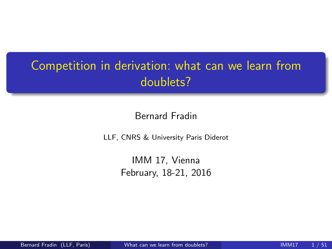# Competition in derivation: what can we learn from doublets?

Bernard Fradin

LLF, CNRS & University Paris Diderot

<span id="page-0-0"></span>IMM 17, Vienna February, 18-21, 2016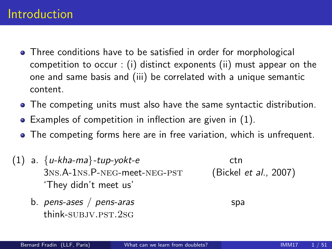- Three conditions have to be satisfied in order for morphological competition to occur : (i) distinct exponents (ii) must appear on the one and same basis and (iii) be correlated with a unique semantic content.
- The competing units must also have the same syntactic distribution.
- Examples of competition in inflection are given in [\(1\)](#page-1-0).
- The competing forms here are in free variation, which is unfrequent.
- <span id="page-1-0"></span>(1) a.  $\{u-kha-ma\}$ -tup-yokt-e ctn 3ns.A-1ns.P-neg-meet-neg-pst (Bickel et al., 2007) 'They didn't meet us'
	- b.  $pens-ases / pens-aras$  spa think-subjv.pst.2sg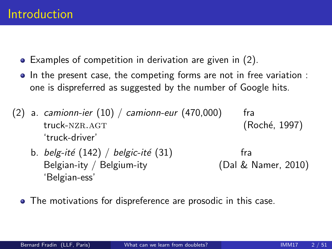- Examples of competition in derivation are given in [\(2\)](#page-2-0).
- In the present case, the competing forms are not in free variation : one is dispreferred as suggested by the number of Google hits.
- <span id="page-2-0"></span>(2) a. camionn-ier  $(10)$  / camionn-eur  $(470,000)$  fra truck-NZR.AGT (Roché, 1997) 'truck-driver'
	- b. belg-ité  $(142)$  / belgic-ité  $(31)$  fra Belgian-ity / Belgium-ity (Dal & Namer, 2010) 'Belgian-ess'
	- The motivations for dispreference are prosodic in this case.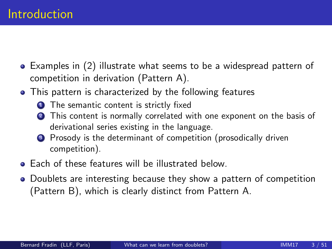- Examples in [\(2\)](#page-2-0) illustrate what seems to be a widespread pattern of competition in derivation (Pattern A).
- This pattern is characterized by the following features
	- **1** The semantic content is strictly fixed
	- This content is normally correlated with one exponent on the basis of derivational series existing in the language.
	- <sup>3</sup> Prosody is the determinant of competition (prosodically driven competition).
- **Each of these features will be illustrated below.**
- Doublets are interesting because they show a pattern of competition (Pattern B), which is clearly distinct from Pattern A.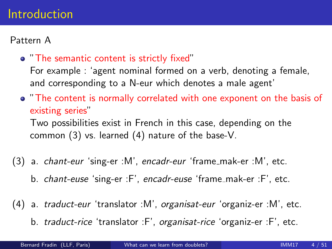#### Introduction

#### Pattern A

"The semantic content is strictly fixed"

For example : 'agent nominal formed on a verb, denoting a female, and corresponding to a N-eur which denotes a male agent'

"The content is normally correlated with one exponent on the basis of existing series"

Two possibilities exist in French in this case, depending on the common [\(3\)](#page-4-0) vs. learned [\(4\)](#page-4-1) nature of the base-V.

- <span id="page-4-0"></span>(3) a. *chant-eur* 'sing-er :M', encadr-eur 'frame\_mak-er :M', etc.
	- b. chant-euse 'sing-er :F', encadr-euse 'frame\_mak-er :F', etc.
- <span id="page-4-1"></span>(4) a. traduct-eur 'translator :M', organisat-eur 'organiz-er :M', etc.
	- b. traduct-rice 'translator :F', organisat-rice 'organiz-er :F', etc.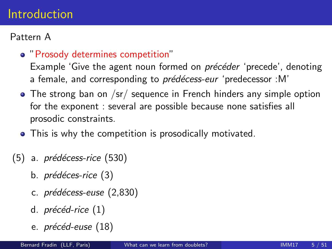#### Introduction

#### Pattern A

"Prosody determines competition"

Example 'Give the agent noun formed on *précéder* 'precede', denoting a female, and corresponding to *prédécess-eur* 'predecessor :M'

- The strong ban on /sr/ sequence in French hinders any simple option for the exponent : several are possible because none satisfies all prosodic constraints.
- This is why the competition is prosodically motivated.
- $(5)$  a. prédécess-rice  $(530)$ 
	- b. *prédéces-rice* (3)
	- c. *prédécess-euse* (2,830)
	- d.  $pr\acute{e}c\acute{e}d$ -rice  $(1)$
	- e. *précéd-euse* (18)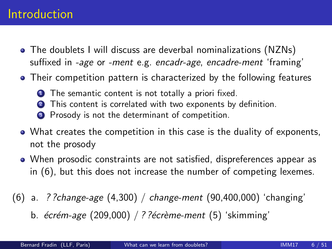#### Introduction

- The doublets I will discuss are deverbal nominalizations (NZNs) suffixed in -age or -ment e.g. encadr-age, encadre-ment 'framing'
- Their competition pattern is characterized by the following features
	- **1** The semantic content is not totally a priori fixed.
		- This content is correlated with two exponents by definition.
	- <sup>3</sup> Prosody is not the determinant of competition.
- What creates the competition in this case is the duality of exponents, not the prosody
- When prosodic constraints are not satisfied, dispreferences appear as in [\(6\)](#page-6-0), but this does not increase the number of competing lexemes.
- <span id="page-6-0"></span>(6) a. ? ?change-age (4,300) / change-ment (90,400,000) 'changing' b.  $écrém-age (209,000) / ?$ ? $écr\`eme-ment (5) 'skimming'$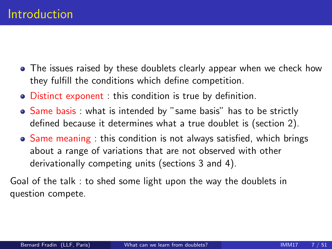- The issues raised by these doublets clearly appear when we check how they fulfill the conditions which define competition.
- Distinct exponent : this condition is true by definition.
- Same basis: what is intended by "same basis" has to be strictly defined because it determines what a true doublet is (section 2).
- Same meaning : this condition is not always satisfied, which brings about a range of variations that are not observed with other derivationally competing units (sections 3 and 4).

Goal of the talk : to shed some light upon the way the doublets in question compete.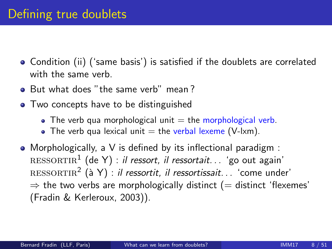- Condition (ii) ('same basis') is satisfied if the doublets are correlated with the same verb.
- But what does "the same verb" mean?
- Two concepts have to be distinguished
	- The verb qua morphological unit  $=$  the morphological verb.
	- The verb qua lexical unit  $=$  the verbal lexeme (V-lxm).
- Morphologically, a V is defined by its inflectional paradigm :  ${\rm RESORTIR}^1$  (de Y) : *il ressort, il ressortait.* . . 'go out again'  ${\rm RESORTIR}^2$   $({\rm \`a\;Y})$  : *il ressortit, il ressortissait.* . . 'come under'  $\Rightarrow$  the two verbs are morphologically distinct (= distinct 'flexemes' (Fradin & Kerleroux, 2003)).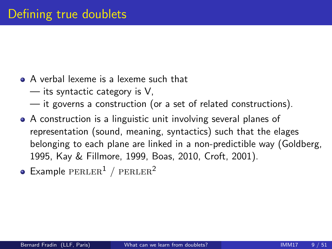- A verbal lexeme is a lexeme such that
	- its syntactic category is V,
	- it governs a construction (or a set of related constructions).
- A construction is a linguistic unit involving several planes of representation (sound, meaning, syntactics) such that the elages belonging to each plane are linked in a non-predictible way (Goldberg, 1995, Kay & Fillmore, 1999, Boas, 2010, Croft, 2001).
- $\bullet$  Example PERLER<sup>1</sup> / PERLER<sup>2</sup>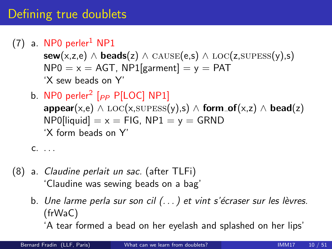## Defining true doublets

 $(7)$  a. NP0 perler<sup>1</sup> NP1

sew(x,z,e) ∧ beads(z) ∧ CAUSE(e,s) ∧ LOC(z,SUPESS(y),s)  $NP0 = x = AGT$ ,  $NP1$ [garment] = y = PAT 'X sew beads on Y'

b. NP0 perler $^2$  [ $_{PP}$  P[LOC] NP1]  $\mathsf{appear}(x,e) \wedge \mathrm{LOC}(x,\mathrm{SUPESS}(y),s) \wedge \mathsf{form\_of}(x,z) \wedge \mathsf{bead}(z)$  $NP0$ [liquid] =  $x = FIG$ ,  $NP1 = y = GRND$ 'X form beads on Y'

c. . . .

- (8) a. Claudine perlait un sac. (after TLFi) 'Claudine was sewing beads on a bag'
	- b. Une larme perla sur son cil  $( \ldots )$  et vint s'écraser sur les lèvres. (frWaC)

'A tear formed a bead on her eyelash and splashed on her lips'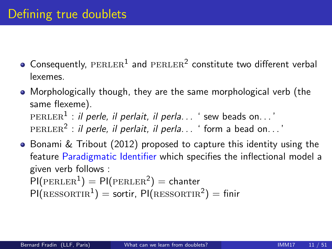- Consequently,  $\tt PERLER^1$  and  $\tt PERLER^2$  constitute two different verbal lexemes.
- Morphologically though, they are the same morphological verb (the same flexeme).  $\tt {\tt PERLER}^1$  : *il perle, il perlait, il perla.* . . ' sew beads on. . . '  $\tt PERLER^2$  : *il perle, il perlait, il perla.* . . ' form a bead on. . .'
- Bonami & Tribout (2012) proposed to capture this identity using the feature Paradigmatic Identifier which specifies the inflectional model a given verb follows :  $\textsf{PI}(\textsf{PERLER}^1) = \textsf{PI}(\textsf{PERLER}^2) = \textsf{chanter}$  $PI(RESSORTIR<sup>1</sup>) =$  sortir,  $PI(RESSORTIR<sup>2</sup>) =$  finir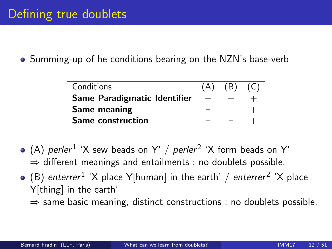Summing-up of he conditions bearing on the NZN's base-verb

| Conditions                     | (B) |  |
|--------------------------------|-----|--|
| Same Paradigmatic Identifier + |     |  |
| Same meaning                   |     |  |
| Same construction              |     |  |

- (A) perler  $^1$  'X sew beads on Y' / perler  $^2$  'X form beads on Y'  $\Rightarrow$  different meanings and entailments : no doublets possible.
- (B) enterrer $^1$  'X place Y[human] in the earth' / enterrer $^2$  'X place Y[thing] in the earth'
	- $\Rightarrow$  same basic meaning, distinct constructions : no doublets possible.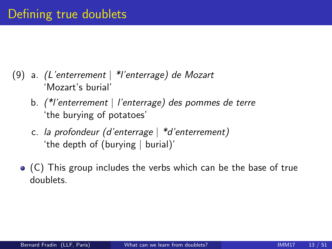- (9) a. (L'enterrement | \*l'enterrage) de Mozart 'Mozart's burial'
	- b. (\*l'enterrement | l'enterrage) des pommes de terre 'the burying of potatoes'
	- c. la profondeur (d'enterrage | \*d'enterrement) 'the depth of (burying | burial)'
	- (C) This group includes the verbs which can be the base of true doublets.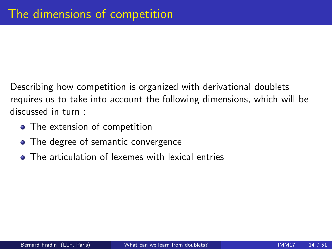Describing how competition is organized with derivational doublets requires us to take into account the following dimensions, which will be discussed in turn :

- The extension of competition
- The degree of semantic convergence
- **•** The articulation of lexemes with lexical entries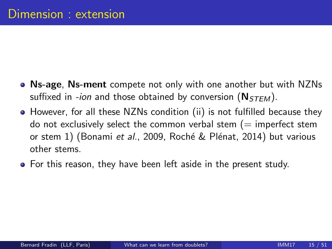- Ns-age, Ns-ment compete not only with one another but with NZNs suffixed in -ion and those obtained by conversion  $(N_{STEM})$ .
- However, for all these NZNs condition (ii) is not fulfilled because they do not exclusively select the common verbal stem  $(=$  imperfect stem or stem 1) (Bonami et al., 2009, Roché & Plénat, 2014) but various other stems.
- For this reason, they have been left aside in the present study.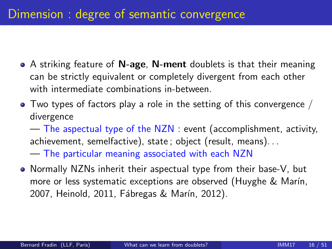- A striking feature of **N-age, N-ment** doublets is that their meaning can be strictly equivalent or completely divergent from each other with intermediate combinations in-between.
- $\bullet$  Two types of factors play a role in the setting of this convergence / divergence

— The aspectual type of the NZN : event (accomplishment, activity, achievement, semelfactive), state ; object (result, means). . .

— The particular meaning associated with each NZN

• Normally NZNs inherit their aspectual type from their base-V, but more or less systematic exceptions are observed (Huyghe & Marín, 2007, Heinold, 2011, Fábregas & Marín, 2012).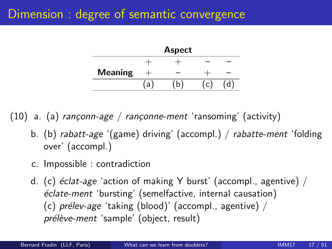|                |     | <b>Aspect</b> |  |
|----------------|-----|---------------|--|
|                |     |               |  |
| <b>Meaning</b> |     |               |  |
|                | í a | n             |  |

(10) a. (a) rançonn-age / rançonne-ment 'ransoming' (activity)

- b. (b) rabatt-age '(game) driving' (accompl.) / rabatte-ment 'folding over' (accompl.)
- c. Impossible : contradiction
- d. (c)  $\acute{e}$ clat-age 'action of making Y burst' (accompl., agentive) /  $\acute{e}$ clate-ment 'bursting' (semelfactive, internal causation) (c)  $prelev-age 'taking (blood)' (accompl., agentive) /$ prélève-ment 'sample' (object, result)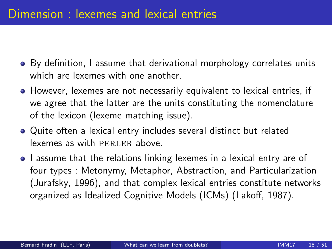- By definition, I assume that derivational morphology correlates units which are lexemes with one another.
- However, lexemes are not necessarily equivalent to lexical entries, if we agree that the latter are the units constituting the nomenclature of the lexicon (lexeme matching issue).
- Quite often a lexical entry includes several distinct but related lexemes as with PERLER above.
- I assume that the relations linking lexemes in a lexical entry are of four types : Metonymy, Metaphor, Abstraction, and Particularization (Jurafsky, 1996), and that complex lexical entries constitute networks organized as Idealized Cognitive Models (ICMs) (Lakoff, 1987).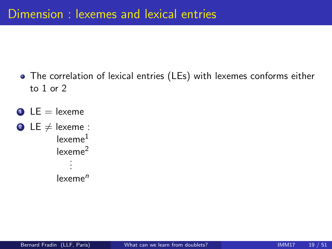- The correlation of lexical entries (LEs) with lexemes conforms either to 1 or 2
- $\bullet$  LE = lexeme
- **2** LE  $\neq$  lexeme : lexeme<sup>1</sup> lexeme<sup>2</sup> . . .  $lexeme<sup>n</sup>$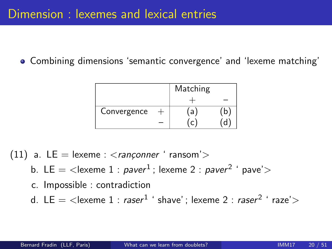Combining dimensions 'semantic convergence' and 'lexeme matching'

|             | Matching |   |
|-------------|----------|---|
|             |          |   |
| Convergence | `a       | b |
|             |          |   |

- (11) a.  $LE = lexeme : *ranconner* 'ransom' >$ 
	- b. LE  $=$   $<$ lexeme 1 :  $\emph{paver}^{1}$  ; lexeme 2 :  $\emph{paver}^{2}$  '  $\emph{pave}$ ' $>$
	- c. Impossible : contradiction
	- d. LE  $=$   $<$ lexeme 1 :  $\mathit{raser}^{1}$  ' shave' ; lexeme 2 :  $\mathit{raser}^{2}$  '  $\mathit{raze}$ ' $>$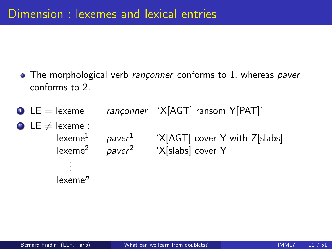- The morphological verb rançonner conforms to 1, whereas paver conforms to 2.
- $\bullet$  LE = lexeme rançonner 'X[AGT] ransom Y[PAT]' 2 LE  $\neq$  lexeme : lexeme $^1$  paver  $^1$  'X[AGT] cover Y with Z[slabs] lexeme $^2$  paver $^2$  'X[slabs] cover Y' . . .  $lexeme<sup>n</sup>$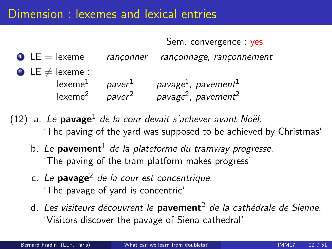#### Dimension : lexemes and lexical entries

Sem. convergence : yes

- $\bullet$  LE = lexeme ranconner rançonnage, rançonnement 2 LE  $\neq$  lexeme : lexeme $^1\qquad$  paver $^{1} \qquad$  pavage $^{1}$ , pavement $^{1}$ lexeme $^2$  paver $^2$  pavage $^2$ , pavement $^2$
- (12) a. Le pavage<sup>1</sup> de la cour devait s'achever avant Noël. 'The paving of the yard was supposed to be achieved by Christmas'
	- b. Le **pavement**<sup>1</sup> de la plateforme du tramway progresse. 'The paving of the tram platform makes progress'
	- c. Le pavage<sup>2</sup> de la cour est concentrique. 'The pavage of yard is concentric'
	- d. Les visiteurs découvrent le **pavement**<sup>2</sup> de la cathédrale de Sienne. 'Visitors discover the pavage of Siena cathedral'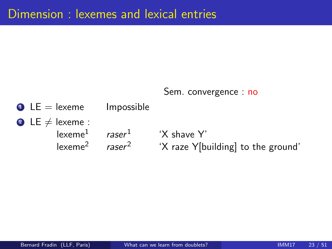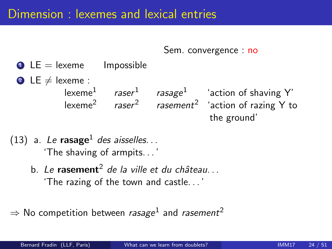Sem. convergence : no

- $\bullet$  LE = lexeme Impossible
- 2 LE  $\neq$  lexeme : lexeme<sup>1</sup> raser <sup>1</sup> rasage<sup>1</sup> 'action of shaving Y' lexeme $^2$   $\quad$  rasement $^2$  'action of razing Y to the ground'
- (13) a. Le rasage<sup>1</sup> des aisselles... 'The shaving of armpits. . . '
	- b. Le rasement<sup>2</sup> de la ville et du château... 'The razing of the town and castle. . . '

 $\Rightarrow$  No competition between *rasage* $^1$  and *rasement* $^2$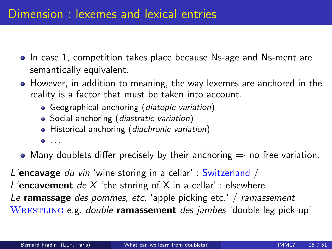- In case 1, competition takes place because Ns-age and Ns-ment are semantically equivalent.
- However, in addition to meaning, the way lexemes are anchored in the reality is a factor that must be taken into account.
	- Geographical anchoring (*diatopic variation*)
	- Social anchoring (diastratic variation)
	- Historical anchoring (diachronic variation)
	- $\bullet$  . . .
- Many doublets differ precisely by their anchoring  $\Rightarrow$  no free variation.

L'encavage du vin 'wine storing in a cellar' : Switzerland / L'encavement de X 'the storing of X in a cellar' : elsewhere Le ramassage des pommes, etc. 'apple picking etc.' / ramassement WRESTLING e.g. double ramassement des jambes 'double leg pick-up'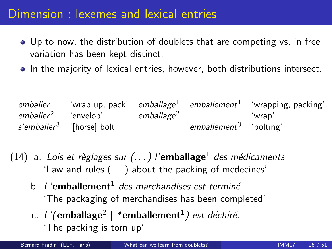#### Dimension : lexemes and lexical entries

- Up to now, the distribution of doublets that are competing vs. in free variation has been kept distinct.
- In the majority of lexical entries, however, both distributions intersect.

 $\emph{emballer}^1$  'wrap up, pack'  $emballage^1$  emballement $^1$  'wrapping, packing' emballer<sup>2</sup> 'envelop' emballage<sup>2</sup> 'wrap' *s'emballer<sup>3</sup>* '[horse] bolt' em*ballement<sup>3</sup>*  $emballement<sup>3</sup>$  'bolting'

(14) a. Lois et règlages sur  $(...)$  l'emballage<sup>1</sup> des médicaments 'Law and rules (. . . ) about the packing of medecines'

- b. L'emballement<sup>1</sup> des marchandises est terminé. 'The packaging of merchandises has been completed'
- c. L'(emballage<sup>2</sup> | \*emballement<sup>1</sup>) est déchiré. 'The packing is torn up'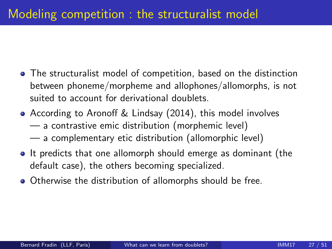- The structuralist model of competition, based on the distinction between phoneme/morpheme and allophones/allomorphs, is not suited to account for derivational doublets.
- According to Aronoff & Lindsay (2014), this model involves — a contrastive emic distribution (morphemic level)
	- a complementary etic distribution (allomorphic level)
- It predicts that one allomorph should emerge as dominant (the default case), the others becoming specialized.
- Otherwise the distribution of allomorphs should be free.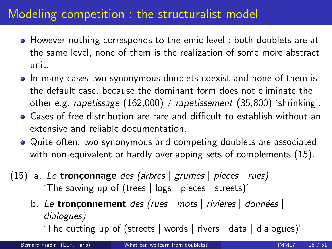# Modeling competition : the structuralist model

- However nothing corresponds to the emic level : both doublets are at the same level, none of them is the realization of some more abstract unit.
- In many cases two synonymous doublets coexist and none of them is the default case, because the dominant form does not eliminate the other e.g. rapetissage (162,000) / rapetissement (35,800) 'shrinking'.
- Cases of free distribution are rare and difficult to establish without an extensive and reliable documentation.
- Quite often, two synonymous and competing doublets are associated with non-equivalent or hardly overlapping sets of complements [\(15\)](#page-28-0).
- <span id="page-28-0"></span>(15) a. Le **tronçonnage** des (arbres | grumes | pièces | rues) 'The sawing up of (trees | logs | pieces | streets)'
	- b. Le tronçonnement des (rues  $\vert$  mots  $\vert$  rivières  $\vert$  données  $\vert$ dialogues)

'The cutting up of (streets | words | rivers | data | dialogues)'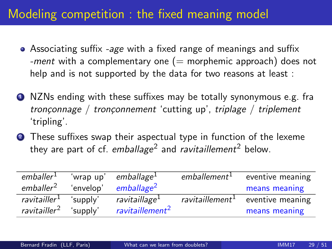# Modeling competition : the fixed meaning model

- Associating suffix -age with a fixed range of meanings and suffix -ment with a complementary one  $(=$  morphemic approach) does not help and is not supported by the data for two reasons at least :
- **4** NZNs ending with these suffixes may be totally synonymous e.g. fra tronçonnage / tronçonnement 'cutting up', triplage / triplement 'tripling'.
- **2** These suffixes swap their aspectual type in function of the lexeme they are part of cf.  $\emph{emballage}^2$  and *ravitaillement* $^2$  below.

| emballer <sup>1</sup>    | 'wrap up' | emballage <sup>1</sup>      | emballement <sup>1</sup>    | eventive meaning |
|--------------------------|-----------|-----------------------------|-----------------------------|------------------|
| emballer <sup>2</sup>    | 'envelop' | emballage <sup>2</sup>      |                             | means meaning    |
| ravitailler <sup>1</sup> | 'supply'  | ravitaillage <sup>1</sup>   | ravitaillement <sup>1</sup> | eventive meaning |
| ravitailler <sup>2</sup> | 'supply'  | ravitaillement <sup>2</sup> |                             | means meaning    |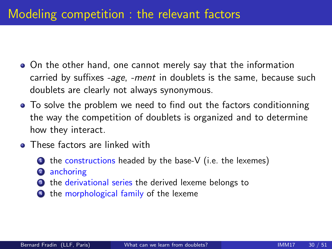### Modeling competition : the relevant factors

- On the other hand, one cannot merely say that the information carried by suffixes -age, -ment in doublets is the same, because such doublets are clearly not always synonymous.
- To solve the problem we need to find out the factors conditionning the way the competition of doublets is organized and to determine how they interact.
- **•** These factors are linked with
	- $\bullet$  the constructions headed by the base-V (i.e. the lexemes)
	- anchoring
	- **3** the derivational series the derived lexeme belongs to
	- the morphological family of the lexeme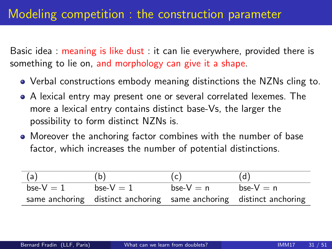#### Modeling competition : the construction parameter

Basic idea : meaning is like dust : it can lie everywhere, provided there is something to lie on, and morphology can give it a shape.

- Verbal constructions embody meaning distinctions the NZNs cling to.
- A lexical entry may present one or several correlated lexemes. The more a lexical entry contains distinct base-Vs, the larger the possibility to form distinct NZNs is.
- Moreover the anchoring factor combines with the number of base factor, which increases the number of potential distinctions.

| (a)        | (b)                                                                 | (c)          | (d)          |
|------------|---------------------------------------------------------------------|--------------|--------------|
| bse- $V=1$ | bse- $V=1$                                                          | bse- $V = n$ | bse- $V = n$ |
|            | same anchoring distinct anchoring same anchoring distinct anchoring |              |              |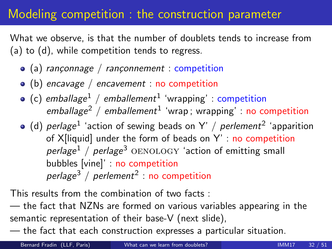#### Modeling competition : the construction parameter

What we observe, is that the number of doublets tends to increase from (a) to (d), while competition tends to regress.

- (a) rançonnage / rançonnement : competition
- $\bullet$  (b) encavage / encavement : no competition
- (c)  $\epsilon$ mballage $^1$  / emballement $^1$  'wrapping' : competition  $emballage<sup>2</sup>$  / emballement<sup>1</sup> 'wrap; wrapping' : no competition
- (d)  $\emph{perlage}^1$  'action of sewing beads on Y' /  $\emph{perlement}^2$  'apparition of  $X$ [liquid] under the form of beads on  $Y'$  : no competition perlage<sup>1</sup> / perlage<sup>3</sup> OENOLOGY 'action of emitting small bubbles [vine]' : no competition  $perlage<sup>3</sup> / perlement<sup>2</sup> : no competition$

This results from the combination of two facts :

— the fact that NZNs are formed on various variables appearing in the semantic representation of their base-V (next slide),

— the fact that each construction expresses a particular situation.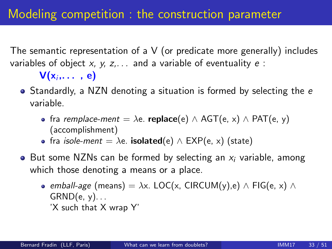The semantic representation of a V (or predicate more generally) includes variables of object x, y, z,  $\ldots$  and a variable of eventuality  $e$ :

 ${\sf V}({\sf x}_i,\dots, \: {\sf e})$ 

- Standardly, a NZN denoting a situation is formed by selecting the e variable.
	- fra *remplace-ment* =  $\lambda$ e. **replace**(e)  $\wedge$  AGT(e, x)  $\wedge$  PAT(e, y) (accomplishment)
	- fra *isole-ment* =  $\lambda$ e. **isolated**(e)  $\wedge$  EXP(e, x) (state)
- But some NZNs can be formed by selecting an  $x_i$  variable, among which those denoting a means or a place.
	- emball-age (means) =  $\lambda x$ . LOC(x, CIRCUM(y),e) ∧ FIG(e, x) ∧  $GRND(e, y)$ ... 'X such that X wrap Y'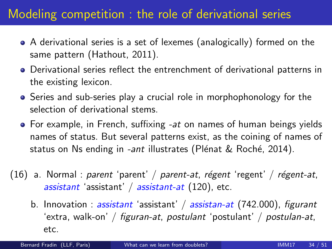- A derivational series is a set of lexemes (analogically) formed on the same pattern (Hathout, 2011).
- Derivational series reflect the entrenchment of derivational patterns in the existing lexicon.
- Series and sub-series play a crucial role in morphophonology for the selection of derivational stems.
- $\bullet$  For example, in French, suffixing  $-at$  on names of human beings yields names of status. But several patterns exist, as the coining of names of status on Ns ending in *-ant* illustrates (Plénat & Roché, 2014).
- (16) a. Normal : parent 'parent' / parent-at, régent 'regent' / régent-at, assistant 'assistant' /  $a$ ssistant-at (120), etc.
	- b. Innovation : assistant 'assistant' / assistan-at  $(742.000)$ , figurant 'extra, walk-on' / figuran-at, postulant 'postulant' / postulan-at, etc.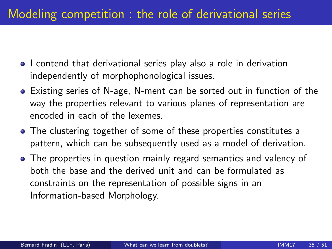- I contend that derivational series play also a role in derivation independently of morphophonological issues.
- Existing series of N-age, N-ment can be sorted out in function of the way the properties relevant to various planes of representation are encoded in each of the lexemes.
- The clustering together of some of these properties constitutes a pattern, which can be subsequently used as a model of derivation.
- The properties in question mainly regard semantics and valency of both the base and the derived unit and can be formulated as constraints on the representation of possible signs in an Information-based Morphology.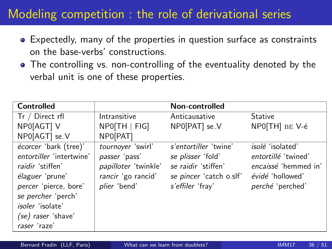- Expectedly, many of the properties in question surface as constraints on the base-verbs' constructions.
- The controlling vs. non-controlling of the eventuality denoted by the verbal unit is one of these properties.

| <b>Controlled</b>                                                                                                                                                  |                                                                                                  | Non-controlled                                                                                                   |                                                                                                                |
|--------------------------------------------------------------------------------------------------------------------------------------------------------------------|--------------------------------------------------------------------------------------------------|------------------------------------------------------------------------------------------------------------------|----------------------------------------------------------------------------------------------------------------|
| Tr / Direct rfl                                                                                                                                                    | Intransitive                                                                                     | Anticausative                                                                                                    | <b>Stative</b>                                                                                                 |
| NP0[AGT] V                                                                                                                                                         | $NPO$ [TH   FIG]                                                                                 | NP0[PAT] se_V                                                                                                    | NPO[TH] BE V-é                                                                                                 |
| NP0[AGT] se <sub>-</sub> V                                                                                                                                         | NP0[PAT]                                                                                         |                                                                                                                  |                                                                                                                |
| écorcer 'bark (tree)'<br>entortiller 'intertwine'<br>raidir 'stiffen'<br>élaguer 'prune'<br>percer 'pierce, bore'<br>se percher 'perch'<br><i>isoler</i> 'isolate' | tournoyer 'swirl'<br>passer 'pass'<br>papilloter 'twinkle'<br>rancir 'go rancid'<br>plier 'bend' | s'entortiller 'twine'<br>se plisser 'fold'<br>se raidir 'stiffen'<br>se pincer 'catch o.slf'<br>s'effiler 'fray' | <i>isolé</i> 'isolated'<br>entortillé 'twined'<br>encaissé 'hemmed in'<br>évidé 'hollowed'<br>perché 'perched' |
| (se) raser 'shave'<br>raser 'raze'                                                                                                                                 |                                                                                                  |                                                                                                                  |                                                                                                                |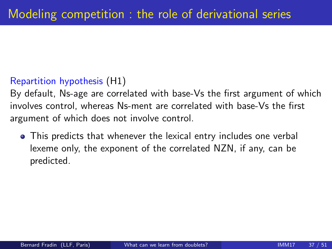#### Repartition hypothesis (H1)

By default, Ns-age are correlated with base-Vs the first argument of which involves control, whereas Ns-ment are correlated with base-Vs the first argument of which does not involve control.

This predicts that whenever the lexical entry includes one verbal lexeme only, the exponent of the correlated NZN, if any, can be predicted.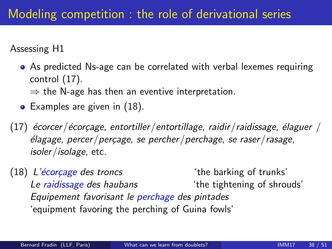Assessing H1

- As predicted Ns-age can be correlated with verbal lexemes requiring control [\(17\)](#page-38-0).
	- $\Rightarrow$  the N-age has then an eventive interpretation.
- $\bullet$  Examples are given in  $(18)$ .
- <span id="page-38-0"></span>(17)  $\acute{e}$ corcer/ $\acute{e}$ corçage, entortiller/entortillage, raidir/raidissage,  $\acute{e}$ laguer /  $\epsilon$ lagage, percer/perçage, se percher/perchage, se raser/rasage, isoler/isolage, etc.
- <span id="page-38-1"></span> $(18)$  L'écorcage des troncs  $(18)$  the barking of trunks' Le raidissage des haubans The tightening of shrouds' Equipement favorisant le perchage des pintades 'equipment favoring the perching of Guina fowls'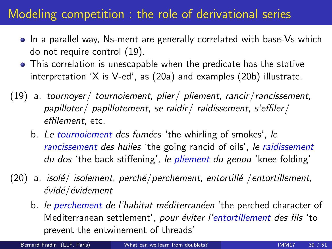- In a parallel way, Ns-ment are generally correlated with base-Vs which do not require control [\(19\)](#page-39-0).
- This correlation is unescapable when the predicate has the stative interpretation 'X is V-ed', as [\(20a\)](#page-39-1) and examples [\(20b\)](#page-39-2) illustrate.
- <span id="page-39-0"></span>(19) a. tournoyer/ tournoiement, plier/ pliement, rancir/rancissement, papilloter/ papillotement, se raidir/ raidissement, s'effiler/ effilement, etc.
	- b. Le tournoiement des fumées 'the whirling of smokes', le rancissement des huiles 'the going rancid of oils', le raidissement du dos 'the back stiffening', le pliement du genou 'knee folding'
- <span id="page-39-2"></span><span id="page-39-1"></span> $(20)$  a. isolé/ isolement, perché/perchement, entortillé /entortillement, évidé/évidement
	- b. le perchement de l'habitat méditerranéen 'the perched character of Mediterranean settlement', pour éviter l'entortillement des fils 'to prevent the entwinement of threads'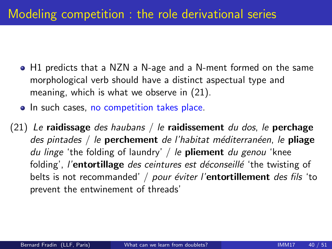- H1 predicts that a NZN a N-age and a N-ment formed on the same morphological verb should have a distinct aspectual type and meaning, which is what we observe in [\(21\)](#page-40-0).
- In such cases, no competition takes place.
- <span id="page-40-0"></span>(21) Le raidissage des haubans / le raidissement du dos, le perchage des pintades / le **perchement** de l'habitat méditerranéen, le **pliage** du linge 'the folding of laundry' / le **pliement** du genou 'knee folding', l'entortillage des ceintures est déconseillé 'the twisting of belts is not recommanded' / pour éviter l'entortillement des fils 'to prevent the entwinement of threads'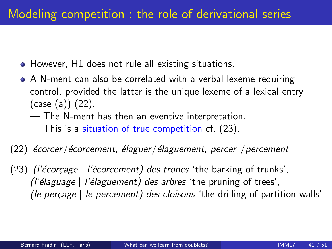- However, H1 does not rule all existing situations.
- A N-ment can also be correlated with a verbal lexeme requiring control, provided the latter is the unique lexeme of a lexical entry (case (a)) [\(22\)](#page-41-0).
	- The N-ment has then an eventive interpretation.
	- This is a situation of true competition cf. [\(23\)](#page-41-1).

#### <span id="page-41-0"></span> $(22)$  écorcer/écorcement, élaguer/élaguement, percer /percement

<span id="page-41-1"></span>(23) (*l'écorcage* | *l'écorcement*) des troncs 'the barking of trunks',  $\ell$ 'élaguage | l'élaguement) des arbres 'the pruning of trees', (le perçage  $\vert$  le percement) des cloisons 'the drilling of partition walls'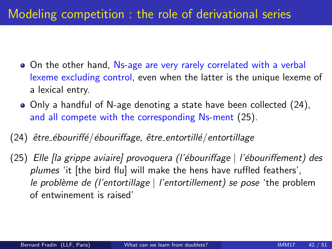- On the other hand, Ns-age are very rarely correlated with a verbal lexeme excluding control, even when the latter is the unique lexeme of a lexical entry.
- Only a handful of N-age denoting a state have been collected [\(24\)](#page-42-0), and all compete with the corresponding Ns-ment [\(25\)](#page-42-1).
- <span id="page-42-0"></span> $(24)$  être\_ébouriffé/ébouriffage, être\_entortillé/entortillage
- <span id="page-42-1"></span>(25) Elle [la grippe aviaire] provoquera (l'´ebouriffage | l'´ebouriffement) des plumes 'it [the bird flu] will make the hens have ruffled feathers', le problème de (l'entortillage  $\vert$  l'entortillement) se pose 'the problem of entwinement is raised'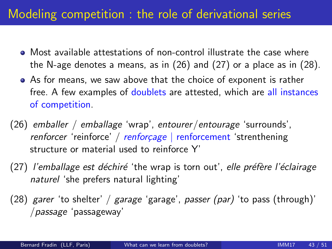- Most available attestations of non-control illustrate the case where the N-age denotes a means, as in [\(26\)](#page-43-0) and [\(27\)](#page-43-1) or a place as in [\(28\)](#page-43-2).
- As for means, we saw above that the choice of exponent is rather free. A few examples of doublets are attested, which are all instances of competition.
- <span id="page-43-0"></span>(26) emballer / emballage 'wrap', entourer/entourage 'surrounds',  $r$ enforcer 'reinforce' / renforçage | renforcement 'strenthening structure or material used to reinforce Y'
- <span id="page-43-1"></span>(27) l'emballage est déchiré 'the wrap is torn out', elle préfère l'éclairage naturel 'she prefers natural lighting'
- <span id="page-43-2"></span>(28) garer 'to shelter' / garage 'garage', passer (par) 'to pass (through)' /passage 'passageway'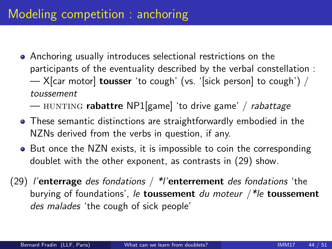- Anchoring usually introduces selectional restrictions on the participants of the eventuality described by the verbal constellation :  $-$  X[car motor] **tousser** 'to cough' (vs. '[sick person] to cough') / toussement
	- HUNTING **rabattre** NP1[game] 'to drive game' / rabattage
- These semantic distinctions are straightforwardly embodied in the NZNs derived from the verbs in question, if any.
- But once the NZN exists, it is impossible to coin the corresponding doublet with the other exponent, as contrasts in [\(29\)](#page-44-0) show.
- <span id="page-44-0"></span>(29) l'enterrage des fondations /  $*$ l'enterrement des fondations 'the burying of foundations', le **toussement** du moteur  $\frac{1}{10}$  toussement des malades 'the cough of sick people'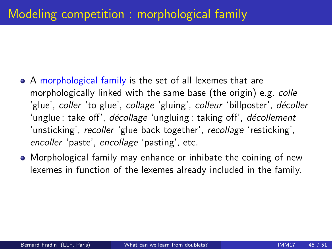- A morphological family is the set of all lexemes that are morphologically linked with the same base (the origin) e.g. colle 'glue', coller 'to glue', collage 'gluing', colleur 'billposter', décoller 'unglue; take off', décollage 'ungluing; taking off', décollement 'unsticking', recoller 'glue back together', recollage 'resticking', encoller 'paste', encollage 'pasting', etc.
- Morphological family may enhance or inhibate the coining of new lexemes in function of the lexemes already included in the family.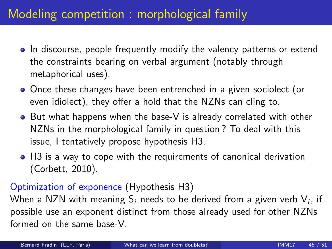# Modeling competition : morphological family

- In discourse, people frequently modify the valency patterns or extend the constraints bearing on verbal argument (notably through metaphorical uses).
- Once these changes have been entrenched in a given sociolect (or even idiolect), they offer a hold that the NZNs can cling to.
- But what happens when the base-V is already correlated with other NZNs in the morphological family in question ? To deal with this issue, I tentatively propose hypothesis H3.
- H3 is a way to cope with the requirements of canonical derivation (Corbett, 2010).

#### Optimization of exponence (Hypothesis H3)

When a NZN with meaning  $\mathsf{S}_i$  needs to be derived from a given verb  $\mathsf{V}_i$ , if possible use an exponent distinct from those already used for other NZNs formed on the same base-V.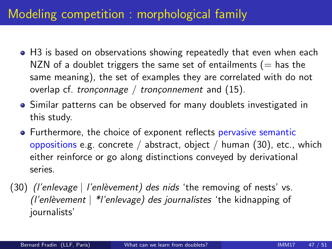# Modeling competition : morphological family

- H3 is based on observations showing repeatedly that even when each NZN of a doublet triggers the same set of entailments ( $=$  has the same meaning), the set of examples they are correlated with do not overlap cf. tronçonnage / tronçonnement and  $(15)$ .
- Similar patterns can be observed for many doublets investigated in this study.
- Furthermore, the choice of exponent reflects pervasive semantic oppositions e.g. concrete / abstract, object / human [\(30\)](#page-47-0), etc., which either reinforce or go along distinctions conveyed by derivational series.
- <span id="page-47-0"></span>(30) (*l'enlevage* | *l'enlèvement*) des nids 'the removing of nests' vs. (l'enlèvement  $\vert$  \*l'enlevage) des journalistes 'the kidnapping of journalists'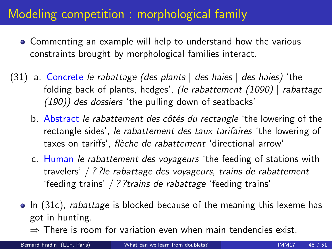# Modeling competition : morphological family

- Commenting an example will help to understand how the various constraints brought by morphological families interact.
- <span id="page-48-0"></span>(31) a. Concrete le rabattage (des plants  $\vert$  des haies  $\vert$  des haies) the folding back of plants, hedges', (le rabattement (1090) | rabattage (190)) des dossiers 'the pulling down of seatbacks'
	- b. Abstract le rabattement des côtés du rectangle 'the lowering of the rectangle sides', le rabattement des taux tarifaires 'the lowering of taxes on tariffs', flèche de rabattement 'directional arrow'
	- c. Human le rabattement des voyageurs 'the feeding of stations with travelers' / ? ?le rabattage des voyageurs, trains de rabattement 'feeding trains' / ? ?trains de rabattage 'feeding trains'
	- In [\(31c\)](#page-48-0), *rabattage* is blocked because of the meaning this lexeme has got in hunting.
		- $\Rightarrow$  There is room for variation even when main tendencies exist.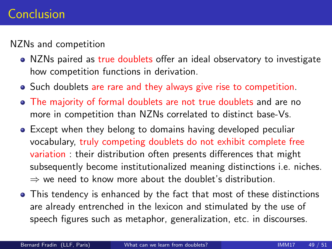#### Conclusion

NZNs and competition

- NZNs paired as true doublets offer an ideal observatory to investigate how competition functions in derivation.
- Such doublets are rare and they always give rise to competition.
- The majority of formal doublets are not true doublets and are no more in competition than NZNs correlated to distinct base-Vs.
- Except when they belong to domains having developed peculiar vocabulary, truly competing doublets do not exhibit complete free variation : their distribution often presents differences that might subsequently become institutionalized meaning distinctions i.e. niches.  $\Rightarrow$  we need to know more about the doublet's distribution.
- This tendency is enhanced by the fact that most of these distinctions are already entrenched in the lexicon and stimulated by the use of speech figures such as metaphor, generalization, etc. in discourses.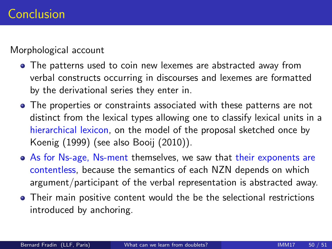#### Morphological account

- The patterns used to coin new lexemes are abstracted away from verbal constructs occurring in discourses and lexemes are formatted by the derivational series they enter in.
- The properties or constraints associated with these patterns are not distinct from the lexical types allowing one to classify lexical units in a hierarchical lexicon, on the model of the proposal sketched once by Koenig (1999) (see also Booij (2010)).
- As for Ns-age, Ns-ment themselves, we saw that their exponents are contentless, because the semantics of each NZN depends on which argument/participant of the verbal representation is abstracted away.
- Their main positive content would the be the selectional restrictions introduced by anchoring.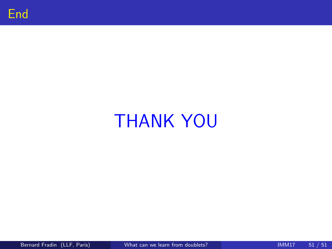

# THANK YOU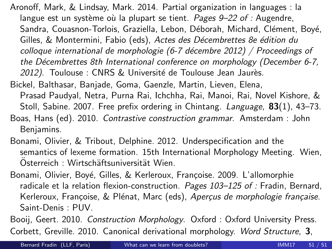- Aronoff, Mark, & Lindsay, Mark. 2014. Partial organization in languages : la langue est un système où la plupart se tient. Pages  $9-22$  of : Augendre, Sandra, Couasnon-Torlois, Graziella, Lebon, Déborah, Michard, Clément, Boyé, Gilles, & Montermini, Fabio (eds), Actes des Décembrettes 8e édition du colloque international de morphologie (6-7 décembre 2012) / Proceedings of the Décembrettes 8th International conference on morphology (December 6-7, 2012). Toulouse : CNRS & Université de Toulouse Jean Jaurès.
- Bickel, Balthasar, Banjade, Goma, Gaenzle, Martin, Lieven, Elena,
	- Prasad Paudyal, Netra, Purna Rai, Ichchha, Rai, Manoi, Rai, Novel Kishore, & Stoll, Sabine. 2007. Free prefix ordering in Chintang. Language, 83(1), 43-73.
- Boas, Hans (ed). 2010. Contrastive construction grammar. Amsterdam : John Benjamins.
- Bonami, Olivier, & Tribout, Delphine. 2012. Underspecification and the semantics of lexeme formation. 15th International Morphology Meeting. Wien, Osterreich : Wirtschäftsuniversität Wien.
- Bonami, Olivier, Boyé, Gilles, & Kerleroux, Françoise. 2009. L'allomorphie radicale et la relation flexion-construction. Pages  $103-125$  of : Fradin, Bernard, Kerleroux, Françoise, & Plénat, Marc (eds), Aperçus de morphologie française. Saint-Denis : PUV.

Booij, Geert. 2010. Construction Morphology. Oxford : Oxford University Press. Corbett, Greville. 2010. Canonical derivational morphology. Word Structure, 3,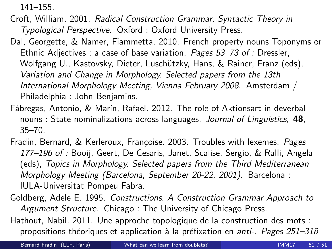141–155.

- Croft, William. 2001. Radical Construction Grammar. Syntactic Theory in Typological Perspective. Oxford : Oxford University Press.
- Dal, Georgette, & Namer, Fiammetta. 2010. French property nouns Toponyms or Ethnic Adjectives : a case of base variation. Pages 53–73 of : Dressler, Wolfgang U., Kastovsky, Dieter, Luschützky, Hans, & Rainer, Franz (eds), Variation and Change in Morphology. Selected papers from the 13th International Morphology Meeting, Vienna February 2008. Amsterdam / Philadelphia : John Benjamins.
- Fábregas, Antonio, & Marín, Rafael. 2012. The role of Aktionsart in deverbal nouns : State nominalizations across languages. Journal of Linguistics, 48, 35–70.
- Fradin, Bernard, & Kerleroux, Françoise. 2003. Troubles with lexemes. Pages 177–196 of : Booij, Geert, De Cesaris, Janet, Scalise, Sergio, & Ralli, Angela (eds), Topics in Morphology. Selected papers from the Third Mediterranean Morphology Meeting (Barcelona, September 20-22, 2001). Barcelona : IULA-Universitat Pompeu Fabra.
- Goldberg, Adele E. 1995. Constructions. A Construction Grammar Approach to Argument Structure. Chicago : The University of Chicago Press.
- Hathout, Nabil. 2011. Une approche topologique de la construction des mots : propositions théoriques et application à la préfixation en *anti-. Pages 251–318*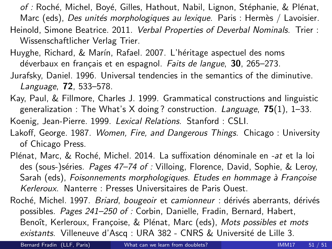of : Roché, Michel, Boyé, Gilles, Hathout, Nabil, Lignon, Stéphanie, & Plénat, Marc (eds), Des unités morphologiques au lexique. Paris : Hermès / Lavoisier. Heinold, Simone Beatrice. 2011. Verbal Properties of Deverbal Nominals. Trier : Wissenschaftlicher Verlag Trier.

- Huvghe, Richard, & Marín, Rafael. 2007. L'héritage aspectuel des noms déverbaux en français et en espagnol. Faits de langue, 30, 265–273.
- Jurafsky, Daniel. 1996. Universal tendencies in the semantics of the diminutive. Language, 72, 533–578.
- Kay, Paul, & Fillmore, Charles J. 1999. Grammatical constructions and linguistic generalization : The What's X doing? construction. Language,  $75(1)$ , 1-33.

Koenig, Jean-Pierre. 1999. Lexical Relations. Stanford : CSLI.

- Lakoff, George. 1987. Women, Fire, and Dangerous Things. Chicago : University of Chicago Press.
- Plénat, Marc, & Roché, Michel. 2014. La suffixation dénominale en -at et la loi des (sous-)séries. Pages 47–74 of : Villoing, Florence, David, Sophie, & Leroy, Sarah (eds), Foisonnements morphologiques. Etudes en hommage à Françoise Kerleroux. Nanterre : Presses Universitaires de Paris Ouest.

Roché, Michel. 1997. Briard, bougeoir et camionneur : dérivés aberrants. dérivés possibles. Pages 241–250 of : Corbin, Danielle, Fradin, Bernard, Habert, Benoît, Kerleroux, Françoise, & Plénat, Marc (eds), Mots possibles et mots existants. Villeneuve d'Ascq : URA 382 - CNRS & Université de Lille 3.